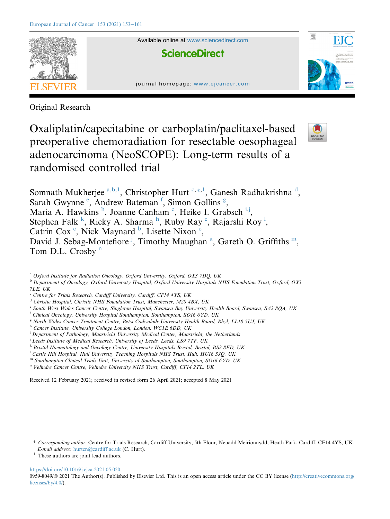

Available online at [www.sciencedirect.com](www.sciencedirect.com/science/journal/09598049)

**ScienceDirect** 





Original Research

Oxaliplatin/capecitabine or carboplatin/paclitaxel-based preoperative chemoradiation for resectable oesophageal adenocarcinoma (NeoSCOPE): Long-term results of a randomised controlled trial



Somnath Mukherjee <sup>[a,](#page-0-0)[b,](#page-0-1)[1](#page-0-2)</sup>, Christopher Hurt C,[\\*,](#page-0-4)1, Ganesh Ra[d](#page-0-5)hakrishna <sup>d</sup>, Sarah Gwynn[e](#page-0-6) <sup>e</sup>, Andrew Bateman<sup>[f](#page-0-7)</sup>, Simon Gollins<sup>[g](#page-0-8)</sup>, Maria A. Hawkins<sup>[h](#page-0-9)</sup>, Joanne Canham<sup>[c](#page-0-3)</sup>, He[i](#page-0-10)ke I. Grabsch<sup>i,[j](#page-0-11)</sup>, Stephen Fal[k](#page-0-12)<sup>k</sup>, Ricky A. S[h](#page-0-9)arma<sup>h</sup>, Ruby Ray<sup>[c](#page-0-3)</sup>, Rajarshi Roy<sup>1</sup>, Catrin Cox<sup>[c](#page-0-3)</sup>, Nick Maynard<sup>[b](#page-0-1)</sup>, Lisette Nixon<sup>c</sup>, David J. Sebag-Montefiore<sup>[j](#page-0-11)</sup>, Timothy M[a](#page-0-0)ughan<sup>a</sup>, Gareth O. Griffiths<sup>[m](#page-0-14)</sup>, Tom D.L. Crosby $<sup>n</sup>$  $<sup>n</sup>$  $<sup>n</sup>$ </sup>

<span id="page-0-1"></span><sup>b</sup> Department of Oncology, Oxford University Hospital, Oxford University Hospitals NHS Foundation Trust, Oxford, OX3 7LE, UK

- <span id="page-0-6"></span><sup>e</sup> South West Wales Cancer Centre, Singleton Hospital, Swansea Bay University Health Board, Swansea, SA2 8QA, UK
- <span id="page-0-7"></span> $f$  Clinical Oncology, University Hospital Southampton, Southampton, SO16 6YD, UK
- <span id="page-0-8"></span><sup>g</sup> North Wales Cancer Treatment Centre, Betsi Cadwaladr University Health Board, Rhyl, LL18 5UJ, UK
- <span id="page-0-9"></span><sup>h</sup> Cancer Institute, University College London, London, WC1E 6DD, UK
- <span id="page-0-10"></span><sup>i</sup> Department of Pathology, Maastricht University Medical Center, Maastricht, the Netherlands
- <span id="page-0-11"></span><sup>j</sup> Leeds Institute of Medical Research, University of Leeds, Leeds, LS9 7TF, UK
- <span id="page-0-12"></span>k Bristol Haematology and Oncology Centre, University Hospitals Bristol, Bristol, BS2 8ED, UK
- <span id="page-0-13"></span><sup>1</sup> Castle Hill Hospital, Hull University Teaching Hospitals NHS Trust, Hull, HU16 5JQ, UK
- <span id="page-0-14"></span>m Southampton Clinical Trials Unit, University of Southampton, Southampton, SO16 6YD, UK
- <span id="page-0-15"></span><sup>n</sup> Velindre Cancer Centre, Velindre University NHS Trust, Cardiff, CF14 2TL, UK

Received 12 February 2021; received in revised form 26 April 2021; accepted 8 May 2021

<span id="page-0-2"></span><sup>1</sup> These authors are joint lead authors.

<https://doi.org/10.1016/j.ejca.2021.05.020>

0959-8049/ $\circ$  2021 The Author(s). Published by Elsevier Ltd. This is an open access article under the CC BY license ([http://creativecommons.org/](http://creativecommons.org/licenses/by/4.0/) [licenses/by/4.0/\)](http://creativecommons.org/licenses/by/4.0/).

<span id="page-0-0"></span> $a^{a}$  Oxford Institute for Radiation Oncology, Oxford University, Oxford, OX3 7DQ, UK

<span id="page-0-3"></span><sup>&</sup>lt;sup>c</sup> Centre for Trials Research, Cardiff University, Cardiff, CF14 4YS, UK

<span id="page-0-5"></span><sup>d</sup> Christie Hospital, Christie NHS Foundation Trust, Manchester, M20 4BX, UK

<span id="page-0-4"></span><sup>\*</sup> Corresponding author: Centre for Trials Research, Cardiff University, 5th Floor, Neuadd Meirionnydd, Heath Park, Cardiff, CF14 4YS, UK. E-mail address: [hurtcn@cardiff.ac.uk](mailto:hurtcn@cardiff.ac.uk) (C. Hurt).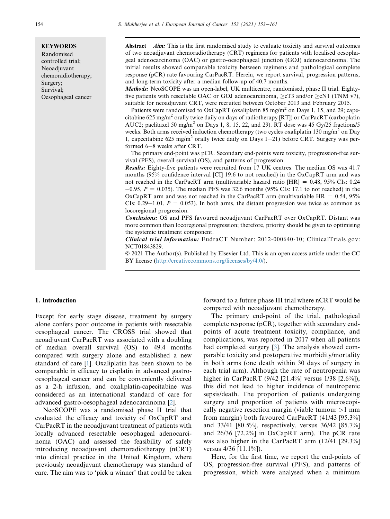**KEYWORDS** Randomised controlled trial; Neoadjuvant chemoradiotherapy; Surgery; Survival; Oesophageal cancer

Abstract *Aim:* This is the first randomised study to evaluate toxicity and survival outcomes of two neoadjuvant chemoradiotherapy (CRT) regimens for patients with localised oesophageal adenocarcinoma (OAC) or gastro-oesophageal junction (GOJ) adenocarcinoma. The initial results showed comparable toxicity between regimens and pathological complete response (pCR) rate favouring CarPacRT. Herein, we report survival, progression patterns, and long-term toxicity after a median follow-up of 40.7 months.

Methods: NeoSCOPE was an open-label, UK multicentre, randomised, phase II trial. Eightyfive patients with resectable OAC or GOJ adenocarcinoma,  $\geq cT3$  and/or  $\geq cNI$  (TNM v7), suitable for neoadjuvant CRT, were recruited between October 2013 and February 2015.

Patients were randomised to OxCapRT (oxaliplatin 85 mg/m<sup>2</sup> on Days 1, 15, and 29; capecitabine 625 mg/m<sup>2</sup> orally twice daily on days of radiotherapy [RT]) or CarPacRT (carboplatin AUC2; paclitaxel 50 mg/m<sup>2</sup> on Days 1, 8, 15, 22, and 29). RT dose was 45 Gy/25 fractions/5 weeks. Both arms received induction chemotherapy (two cycles oxaliplatin 130 mg/m<sup>2</sup> on Day 1, capecitabine 625 mg/m<sup>2</sup> orally twice daily on Days  $1-21$ ) before CRT. Surgery was performed 6-8 weeks after CRT.

The primary end-point was pCR. Secondary end-points were toxicity, progression-free survival (PFS), overall survival (OS), and patterns of progression.

Results: Eighty-five patients were recruited from 17 UK centres. The median OS was 41.7 months (95% confidence interval [CI] 19.6 to not reached) in the OxCapRT arm and was not reached in the CarPacRT arm (multivariable hazard ratio  $|HR| = 0.48$ , 95% CIs: 0.24  $-0.95$ ,  $P = 0.035$ ). The median PFS was 32.6 months (95% CIs: 17.1 to not reached) in the OxCapRT arm and was not reached in the CarPacRT arm (multivariable  $HR = 0.54$ , 95% CIs:  $0.29-1.01$ ,  $P = 0.053$ ). In both arms, the distant progression was twice as common as locoregional progression.

Conclusions: OS and PFS favoured neoadjuvant CarPacRT over OxCapRT. Distant was more common than locoregional progression; therefore, priority should be given to optimising the systemic treatment component.

Clinical trial information: EudraCT Number: 2012-000640-10; ClinicalTrials.gov: NCT01843829.

ª 2021 The Author(s). Published by Elsevier Ltd. This is an open access article under the CC BY license [\(http://creativecommons.org/licenses/by/4.0/\)](http://creativecommons.org/licenses/by/4.0/).

#### 1. Introduction

Except for early stage disease, treatment by surgery alone confers poor outcome in patients with resectable oesophageal cancer. The CROSS trial showed that neoadjuvant CarPacRT was associated with a doubling of median overall survival (OS) to 49.4 months compared with surgery alone and established a new standard of care [[1\]](#page-8-0). Oxaliplatin has been shown to be comparable in efficacy to cisplatin in advanced gastrooesophageal cancer and can be conveniently delivered as a 2-h infusion, and oxaliplatin-capecitabine was considered as an international standard of care for advanced gastro-oesophageal adenocarcinoma [\[2](#page-8-1)].

NeoSCOPE was a randomised phase II trial that evaluated the efficacy and toxicity of OxCapRT and CarPacRT in the neoadjuvant treatment of patients with locally advanced resectable oesophageal adenocarcinoma (OAC) and assessed the feasibility of safely introducing neoadjuvant chemoradiotherapy (nCRT) into clinical practice in the United Kingdom, where previously neoadjuvant chemotherapy was standard of care. The aim was to 'pick a winner' that could be taken forward to a future phase III trial where nCRT would be compared with neoadjuvant chemotherapy.

The primary end-point of the trial, pathological complete response (pCR), together with secondary endpoints of acute treatment toxicity, compliance, and complications, was reported in 2017 when all patients had completed surgery [\[3](#page-8-2)]. The analysis showed comparable toxicity and postoperative morbidity/mortality in both arms (one death within 30 days of surgery in each trial arm). Although the rate of neutropenia was higher in CarPacRT (9/42 [21.4%] versus 1/38 [2.6%]), this did not lead to higher incidence of neutropenic sepsis/death. The proportion of patients undergoing surgery and proportion of patients with microscopically negative resection margin (viable tumour >1 mm from margin) both favoured CarPacRT (41/43 [95.3%] and 33/41 [80.5%], respectively, versus 36/42 [85.7%] and 26/36 [72.2%] in OxCapRT arm). The pCR rate was also higher in the CarPacRT arm (12/41 [29.3%] versus 4/36 [11.1%]).

Here, for the first time, we report the end-points of OS, progression-free survival (PFS), and patterns of progression, which were analysed when a minimum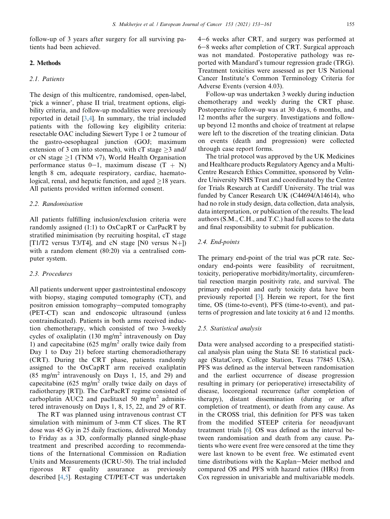follow-up of 3 years after surgery for all surviving patients had been achieved.

# 2. Methods

#### 2.1. Patients

The design of this multicentre, randomised, open-label, 'pick a winner', phase II trial, treatment options, eligibility criteria, and follow-up modalities were previously reported in detail [[3](#page-8-2),[4\]](#page-8-3). In summary, the trial included patients with the following key eligibility criteria: resectable OAC including Siewert Type 1 or 2 tumour of the gastro-oesophageal junction (GOJ; maximum extension of 3 cm into stomach), with cT stage  $\geq$  3 and/ or cN stage  $\geq$ 1 (TNM v7), World Health Organisation performance status 0-1, maximum disease  $(T + N)$ length 8 cm, adequate respiratory, cardiac, haematological, renal, and hepatic function, and aged  $>18$  years. All patients provided written informed consent.

### 2.2. Randomisation

All patients fulfilling inclusion/exclusion criteria were randomly assigned (1:1) to OxCapRT or CarPacRT by stratified minimisation (by recruiting hospital, cT stage [T1/T2 versus T3/T4], and cN stage [N0 versus N+]) with a random element (80:20) via a centralised computer system.

### 2.3. Procedures

All patients underwent upper gastrointestinal endoscopy with biopsy, staging computed tomography (CT), and positron emission tomography-computed tomography (PET-CT) scan and endoscopic ultrasound (unless contraindicated). Patients in both arms received induction chemotherapy, which consisted of two 3-weekly cycles of oxaliplatin (130 mg/m<sup>2</sup> intravenously on Day 1) and capecitabine  $(625 \text{ mg/m}^2 \text{ orally twice daily from})$ Day 1 to Day 21) before starting chemoradiotherapy (CRT). During the CRT phase, patients randomly assigned to the OxCapRT arm received oxaliplatin  $(85 \text{ mg/m}^2 \text{ intravenously on Days } 1, 15, \text{ and } 29)$  and capecitabine  $(625 \text{ mg/m}^2 \text{ orally twice daily on days of})$ radiotherapy [RT]). The CarPacRT regime consisted of carboplatin AUC2 and paclitaxel 50 mg/m<sup>2</sup> administered intravenously on Days 1, 8, 15, 22, and 29 of RT.

The RT was planned using intravenous contrast CT simulation with minimum of 3-mm CT slices. The RT dose was 45 Gy in 25 daily fractions, delivered Monday to Friday as a 3D, conformally planned single-phase treatment and prescribed according to recommendations of the International Commission on Radiation Units and Measurements (ICRU-50). The trial included rigorous RT quality assurance as previously described [[4](#page-8-3)[,5](#page-8-4)]. Restaging CT/PET-CT was undertaken 4–6 weeks after CRT, and surgery was performed at 6-8 weeks after completion of CRT. Surgical approach was not mandated. Postoperative pathology was reported with Mandard's tumour regression grade (TRG). Treatment toxicities were assessed as per US National Cancer Institute's Common Terminology Criteria for Adverse Events (version 4.03).

Follow-up was undertaken 3 weekly during induction chemotherapy and weekly during the CRT phase. Postoperative follow-up was at 30 days, 6 months, and 12 months after the surgery. Investigations and followup beyond 12 months and choice of treatment at relapse were left to the discretion of the treating clinician. Data on events (death and progression) were collected through case report forms.

The trial protocol was approved by the UK Medicines and Healthcare products Regulatory Agency and a Multi-Centre Research Ethics Committee, sponsored by Velindre University NHS Trust and coordinated by the Centre for Trials Research at Cardiff University. The trial was funded by Cancer Research UK (C44694/A14614), who had no role in study design, data collection, data analysis, data interpretation, or publication of the results. The lead authors (S.M., C.H., and T.C.) had full access to the data and final responsibility to submit for publication.

#### 2.4. End-points

The primary end-point of the trial was pCR rate. Secondary end-points were feasibility of recruitment, toxicity, perioperative morbidity/mortality, circumferential resection margin positivity rate, and survival. The primary end-point and early toxicity data have been previously reported [\[3](#page-8-2)]. Herein we report, for the first time, OS (time-to-event), PFS (time-to-event), and patterns of progression and late toxicity at 6 and 12 months.

#### 2.5. Statistical analysis

Data were analysed according to a prespecified statistical analysis plan using the Stata SE 16 statistical package (StataCorp, College Station, Texas 77845 USA). PFS was defined as the interval between randomisation and the earliest occurrence of disease progression resulting in primary (or perioperative) irresectability of disease, locoregional recurrence (after completion of therapy), distant dissemination (during or after completion of treatment), or death from any cause. As in the CROSS trial, this definition for PFS was taken from the modified STEEP criteria for neoadjuvant treatment trials [[6\]](#page-8-5). OS was defined as the interval between randomisation and death from any cause. Patients who were event free were censored at the time they were last known to be event free. We estimated event time distributions with the Kaplan–Meier method and compared OS and PFS with hazard ratios (HRs) from Cox regression in univariable and multivariable models.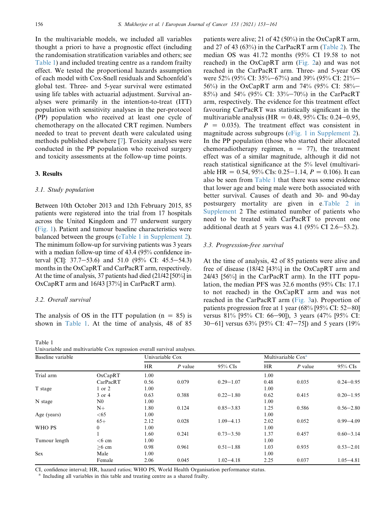In the multivariable models, we included all variables thought a priori to have a prognostic effect (including the randomisation stratification variables and others; see [Table 1](#page-3-0)) and included treating centre as a random frailty effect. We tested the proportional hazards assumption of each model with Cox-Snell residuals and Schoenfeld's global test. Three- and 5-year survival were estimated using life tables with actuarial adjustment. Survival analyses were primarily in the intention-to-treat (ITT) population with sensitivity analyses in the per-protocol (PP) population who received at least one cycle of chemotherapy on the allocated CRT regimen. Numbers needed to treat to prevent death were calculated using methods published elsewhere [\[7](#page-8-6)]. Toxicity analyses were conducted in the PP population who received surgery and toxicity assessments at the follow-up time points.

## 3. Results

#### 3.1. Study population

Between 10th October 2013 and 12th February 2015, 85 patients were registered into the trial from 17 hospitals across the United Kingdom and 77 underwent surgery [\(Fig. 1\)](#page-4-0). Patient and tumour baseline characteristics were balanced between the groups (eTable 1 in Supplement 2). The minimum follow-up for surviving patients was 3 years with a median follow-up time of 43.4 (95% confidence interval [CI]:  $37.7-53.6$ ) and  $51.0$  (95% CI: 45.5-54.3) months in the OxCapRT and CarPacRT arm, respectively. At the time of analysis, 37 patients had died (21/42 [50%] in OxCapRT arm and 16/43 [37%] in CarPacRT arm).

#### 3.2. Overall survival

The analysis of OS in the ITT population  $(n = 85)$  is shown in [Table 1.](#page-3-0) At the time of analysis, 48 of 85

<span id="page-3-0"></span>Table 1 Univariable and multivariable Cox regression overall survival analyses.

patients were alive; 21 of 42 (50%) in the OxCapRT arm, and 27 of 43 (63%) in the CarPacRT arm ([Table 2\)](#page-5-0). The median OS was 41.72 months (95% CI 19.58 to not reached) in the OxCapRT arm ([Fig. 2](#page-5-1)a) and was not reached in the CarPacRT arm. Three- and 5-year OS were 52% (95% CI: 35%-67%) and 39% (95% CI: 21%-56%) in the OxCapRT arm and 74% (95% CI: 58%– 85%) and 54% (95% CI: 33%–70%) in the CarPacRT arm, respectively. The evidence for this treatment effect favouring CarPacRT was statistically significant in the multivariable analysis (HR =  $0.48$ , 95% CIs: 0.24–0.95,  $P = 0.035$ ). The treatment effect was consistent in magnitude across subgroups (eFig. 1 in Supplement 2). In the PP population (those who started their allocated chemoradiotherapy regimen,  $n = 77$ ), the treatment effect was of a similar magnitude, although it did not reach statistical significance at the 5% level (multivariable HR =  $0.54$ , 95% CIs: 0.25–1.14,  $P = 0.106$ ). It can also be seen from [Table 1](#page-3-0) that there was some evidence that lower age and being male were both associated with better survival. Causes of death and 30- and 90-day postsurgery mortality are given in e.Table 2 in Supplement 2 The estimated number of patients who need to be treated with CarPacRT to prevent one additional death at 5 years was 4.1 (95% CI 2.6–53.2).

#### 3.3. Progression-free survival

At the time of analysis, 42 of 85 patients were alive and free of disease (18/42 [43%] in the OxCapRT arm and 24/43 [56%] in the CarPacRT arm). In the ITT population, the median PFS was 32.6 months (95% CIs: 17.1 to not reached) in the OxCapRT arm and was not reached in the CarPacRT arm ([Fig. 3](#page-6-0)a). Proportion of patients progression free at 1 year (68% [95% CI: 52-80] versus 81% [95% CI: 66-90]), 3 years (47% [95% CI: 30–61] versus 63% [95% CI: 47–75]) and 5 years (19%

| Baseline variable |                | Univariable Cox |           |               | Multivariable Cox <sup>a</sup> |           |               |
|-------------------|----------------|-----------------|-----------|---------------|--------------------------------|-----------|---------------|
|                   |                | <b>HR</b>       | $P$ value | 95% CIs       | HR                             | $P$ value | 95% CIs       |
| Trial arm         | OxCapRT        | 1.00            |           |               | 1.00                           |           |               |
|                   | CarPacRT       | 0.56            | 0.079     | $0.29 - 1.07$ | 0.48                           | 0.035     | $0.24 - 0.95$ |
| T stage           | $1$ or $2$     | 1.00            |           |               | 1.00                           |           |               |
|                   | 3 or 4         | 0.63            | 0.388     | $0.22 - 1.80$ | 0.62                           | 0.415     | $0.20 - 1.95$ |
| N stage           | N <sub>0</sub> | 1.00            |           |               | 1.00                           |           |               |
|                   | $N+$           | 1.80            | 0.124     | $0.85 - 3.83$ | 1.25                           | 0.586     | $0.56 - 2.80$ |
| Age (years)       | <65            | 1.00            |           |               | 1.00                           |           |               |
|                   | $65+$          | 2.12            | 0.028     | $1.09 - 4.13$ | 2.02                           | 0.052     | $0.99 - 4.09$ |
| WHO PS            | $\mathbf{0}$   | 1.00            |           |               | 1.00                           |           |               |
|                   |                | 1.60            | 0.241     | $0.73 - 3.50$ | 1.37                           | 0.457     | $0.60 - 3.14$ |
| Tumour length     | $<6$ cm        | 1.00            |           |               | 1.00                           |           |               |
|                   | $>6$ cm        | 0.98            | 0.961     | $0.51 - 1.88$ | 1.03                           | 0.935     | $0.53 - 2.01$ |
| <b>Sex</b>        | Male           | 1.00            |           |               | 1.00                           |           |               |
|                   | Female         | 2.06            | 0.045     | $1.02 - 4.18$ | 2.25                           | 0.037     | $1.05 - 4.81$ |

CI, confidence interval; HR, hazard ratios; WHO PS, World Health Organisation performance status.

<sup>a</sup> Including all variables in this table and treating centre as a shared frailty.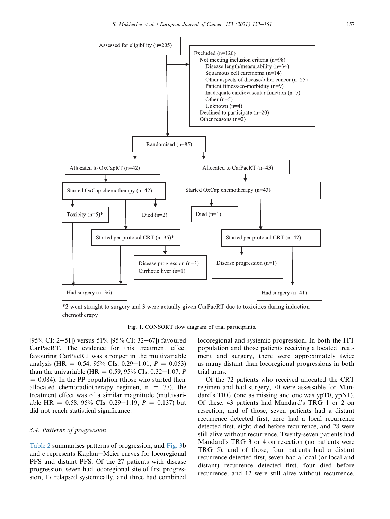<span id="page-4-0"></span>

\*2 went straight to surgery and 3 were actually given CarPacRT due to toxicities during induction chemotherapy

Fig. 1. CONSORT flow diagram of trial participants.

[95% CI: 2–51]) versus 51% [95% CI: 32–67]) favoured CarPacRT. The evidence for this treatment effect favouring CarPacRT was stronger in the multivariable analysis (HR =  $0.54$ , 95% CIs: 0.29–1.01,  $P = 0.053$ ) than the univariable (HR =  $0.59, 95\%$  CIs:  $0.32-1.07$ , P  $= 0.084$ ). In the PP population (those who started their allocated chemoradiotherapy regimen,  $n = 77$ , the treatment effect was of a similar magnitude (multivariable HR = 0.58, 95% CIs: 0.29–1.19,  $P = 0.137$ ) but did not reach statistical significance.

## 3.4. Patterns of progression

[Table 2](#page-5-0) summarises patterns of progression, and [Fig. 3b](#page-6-0) and c represents Kaplan–Meier curves for locoregional PFS and distant PFS. Of the 27 patients with disease progression, seven had locoregional site of first progression, 17 relapsed systemically, and three had combined locoregional and systemic progression. In both the ITT population and those patients receiving allocated treatment and surgery, there were approximately twice as many distant than locoregional progressions in both trial arms.

Of the 72 patients who received allocated the CRT regimen and had surgery, 70 were assessable for Mandard's TRG (one as missing and one was ypT0, ypN1). Of these, 43 patients had Mandard's TRG 1 or 2 on resection, and of those, seven patients had a distant recurrence detected first, zero had a local recurrence detected first, eight died before recurrence, and 28 were still alive without recurrence. Twenty-seven patients had Mandard's TRG 3 or 4 on resection (no patients were TRG 5), and of those, four patients had a distant recurrence detected first, seven had a local (or local and distant) recurrence detected first, four died before recurrence, and 12 were still alive without recurrence.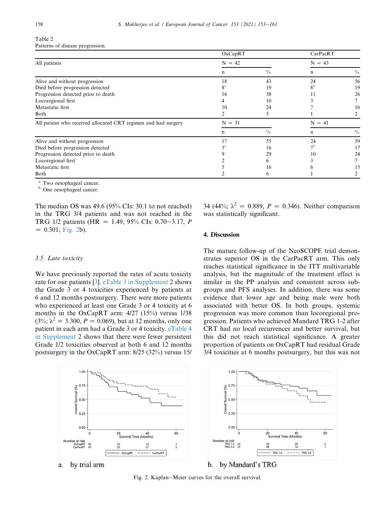## <span id="page-5-0"></span>Table 2 Patterns of disease progression.

|                                                                | OxCapRT        |               | CarPacRT       |               |
|----------------------------------------------------------------|----------------|---------------|----------------|---------------|
| All patients                                                   | $N = 42$       | $N = 43$      |                |               |
|                                                                | n              | $\frac{0}{0}$ | n              | $\frac{0}{0}$ |
| Alive and without progression                                  | 18             | 43            | 24             | 56            |
| Died before progression detected                               | 8 <sup>a</sup> | 19            | 8 <sup>b</sup> | 19            |
| Progression detected prior to death                            | 16             | 38            |                | 26            |
| Locoregional first                                             |                | 10            |                |               |
| Metastatic first                                               | 10             | 24            |                | 16            |
| Both                                                           |                |               |                |               |
| All patient who received allocated CRT regimen and had surgery | $=$ 31<br>N    |               | $N = 41$       |               |
|                                                                | n              | $\frac{0}{0}$ | n              | $\frac{0}{0}$ |
| Alive and without progression                                  | 17             | 55            | 24             | 59            |
| Died before progression detected                               |                | 16            | 7 <sup>b</sup> | 17            |
| Progression detected prior to death                            |                | 29            | 10             | 24            |
| Locoregional first                                             |                | n             |                |               |
| Metastatic first                                               |                | 16            |                |               |
| Both                                                           |                | b             |                |               |

<sup>a</sup> Two oesophageal cancer.

<sup>b</sup> One oesophageal cancer.

The median OS was 49.6 (95% CIs: 30.1 to not reached) in the TRG 3/4 patients and was not reached in the TRG 1/2 patients (HR = 1.49, 95% CIs: 0.70–3.17, P  $= 0.301$ ; [Fig. 2](#page-5-1)b).

## 3.5. Late toxicity

We have previously reported the rates of acute toxicity rate for our patients [\[3](#page-8-2)]. eTable 3 in Supplement 2 shows the Grade 3 or 4 toxicities experienced by patients at 6 and 12 months postsurgery. There were more patients who experienced at least one Grade 3 or 4 toxicity at 6 months in the OxCapRT arm: 4/27 (15%) versus 1/38  $(3\%; \lambda^2 = 3.300, P = 0.069)$ , but at 12 months, only one patient in each arm had a Grade 3 or 4 toxicity. eTable 4 in Supplement 2 shows that there were fewer persistent Grade 1/2 toxicities observed at both 6 and 12 months postsurgery in the OxCapRT arm: 8/25 (32%) versus 15/

34 (44%;  $\lambda^2 = 0.889$ ,  $P = 0.346$ ). Neither comparison was statistically significant.

## 4. Discussion

The mature follow-up of the NeoSCOPE trial demonstrates superior OS in the CarPacRT arm. This only reaches statistical significance in the ITT multivariable analysis, but the magnitude of the treatment effect is similar in the PP analysis and consistent across subgroups and PFS analyses. In addition, there was some evidence that lower age and being male were both associated with better OS. In both groups, systemic progression was more common than locoregional progression. Patients who achieved Mandard TRG 1-2 after CRT had no local recurrences and better survival, but this did not reach statistical significance. A greater proportion of patients on OxCapRT had residual Grade 3/4 toxicities at 6 months postsurgery, but this was not

<span id="page-5-1"></span>

Fig. 2. Kaplan–Meier curves for the overall survival.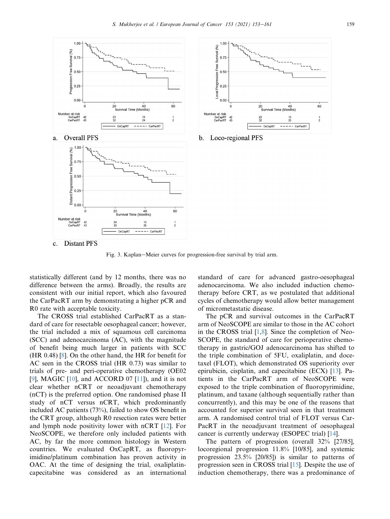<span id="page-6-0"></span>



b. Loco-regional PFS

Distant PFS c.

Fig. 3. Kaplan–Meier curves for progression-free survival by trial arm.

statistically different (and by 12 months, there was no difference between the arms). Broadly, the results are consistent with our initial report, which also favoured the CarPacRT arm by demonstrating a higher pCR and R0 rate with acceptable toxicity.

The CROSS trial established CarPacRT as a standard of care for resectable oesophageal cancer; however, the trial included a mix of squamous cell carcinoma (SCC) and adenocarcinoma (AC), with the magnitude of benefit being much larger in patients with SCC (HR 0.48) [[8\]](#page-8-7). On the other hand, the HR for benefit for AC seen in the CROSS trial (HR 0.73) was similar to trials of pre- and peri-operative chemotherapy (OE02 [\[9](#page-8-8)], MAGIC [[10\]](#page-8-9), and ACCORD 07 [[11\]](#page-8-10)), and it is not clear whether nCRT or neoadjuvant chemotherapy (nCT) is the preferred option. One randomised phase II study of nCT versus nCRT, which predominantly included AC patients (73%), failed to show OS benefit in the CRT group, although R0 resection rates were better and lymph node positivity lower with nCRT [\[12](#page-8-11)]. For NeoSCOPE, we therefore only included patients with AC, by far the more common histology in Western countries. We evaluated OxCapRT, as fluoropyrimidine/platinum combination has proven activity in OAC. At the time of designing the trial, oxaliplatincapecitabine was considered as an international standard of care for advanced gastro-oesophageal adenocarcinoma. We also included induction chemotherapy before CRT, as we postulated that additional cycles of chemotherapy would allow better management of micrometastatic disease.

The pCR and survival outcomes in the CarPacRT arm of NeoSCOPE are similar to those in the AC cohort in the CROSS trial  $[1,8]$  $[1,8]$  $[1,8]$ . Since the completion of Neo-SCOPE, the standard of care for perioperative chemotherapy in gastric/GOJ adenocarcinoma has shifted to the triple combination of 5FU, oxaliplatin, and docetaxel (FLOT), which demonstrated OS superiority over epirubicin, cisplatin, and capecitabine (ECX) [\[13](#page-8-12)]. Patients in the CarPacRT arm of NeoSCOPE were exposed to the triple combination of fluoropyrimidine, platinum, and taxane (although sequentially rather than concurrently), and this may be one of the reasons that accounted for superior survival seen in that treatment arm. A randomised control trial of FLOT versus Car-PacRT in the neoadjuvant treatment of oesophageal cancer is currently underway (ESOPEC trial) [\[14](#page-8-13)].

The pattern of progression (overall 32% [27/85], locoregional progression 11.8% [10/85], and systemic progression 23.5% [20/85]) is similar to patterns of progression seen in CROSS trial [\[15](#page-8-14)]. Despite the use of induction chemotherapy, there was a predominance of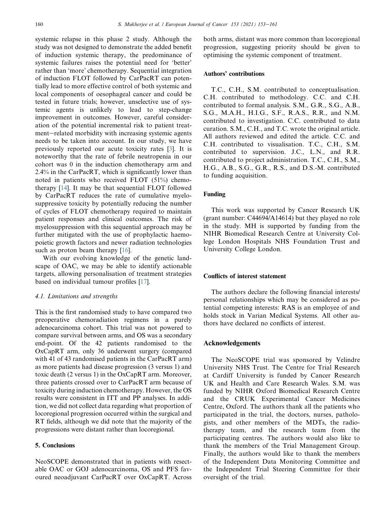systemic relapse in this phase 2 study. Although the study was not designed to demonstrate the added benefit of induction systemic therapy, the predominance of systemic failures raises the potential need for 'better' rather than 'more' chemotherapy. Sequential integration of induction FLOT followed by CarPacRT can potentially lead to more effective control of both systemic and local components of oesophageal cancer and could be tested in future trials; however, unselective use of systemic agents is unlikely to lead to step-change improvement in outcomes. However, careful consideration of the potential incremental risk to patient treatment-related morbidity with increasing systemic agents needs to be taken into account. In our study, we have previously reported our acute toxicity rates [\[3](#page-8-2)]. It is noteworthy that the rate of febrile neutropenia in our cohort was 0 in the induction chemotherapy arm and 2.4% in the CarPacRT, which is significantly lower than noted in patients who received FLOT (51%) chemotherapy [[14\]](#page-8-13). It may be that sequential FLOT followed by CarPacRT reduces the rate of cumulative myelosuppressive toxicity by potentially reducing the number of cycles of FLOT chemotherapy required to maintain patient responses and clinical outcomes. The risk of myelosuppression with this sequential approach may be further mitigated with the use of prophylactic haemopoietic growth factors and newer radiation technologies such as proton beam therapy [[16\]](#page-8-15).

With our evolving knowledge of the genetic landscape of OAC, we may be able to identify actionable targets, allowing personalisation of treatment strategies based on individual tumour profiles [\[17](#page-8-16)].

### 4.1. Limitations and strengths

This is the first randomised study to have compared two preoperative chemoradiation regimens in a purely adenocarcinoma cohort. This trial was not powered to compare survival between arms, and OS was a secondary end-point. Of the 42 patients randomised to the OxCapRT arm, only 36 underwent surgery (compared with 41 of 43 randomised patients in the CarPacRT arm) as more patients had disease progression (3 versus 1) and toxic death (2 versus 1) in the OxCapRT arm. Moreover, three patients crossed over to CarPacRT arm because of toxicity during induction chemotherapy. However, the OS results were consistent in ITT and PP analyses. In addition, we did not collect data regarding what proportion of locoregional progression occurred within the surgical and RT fields, although we did note that the majority of the progressions were distant rather than locoregional.

# 5. Conclusions

NeoSCOPE demonstrated that in patients with resectable OAC or GOJ adenocarcinoma, OS and PFS favoured neoadjuvant CarPacRT over OxCapRT. Across both arms, distant was more common than locoregional progression, suggesting priority should be given to optimising the systemic component of treatment.

### Authors' contributions

T.C., C.H., S.M. contributed to conceptualisation. C.H. contributed to methodology. C.C. and C.H. contributed to formal analysis. S.M., G.R., S.G., A.B., S.G., M.A.H., H.I.G., S.F., R.A.S., R.R., and N.M. contributed to investigation. C.C. contributed to data curation. S.M., C.H., and T.C. wrote the original article. All authors reviewed and edited the article. C.C. and C.H. contributed to visualisation. T.C., C.H., S.M. contributed to supervision. J.C., L.N., and R.R. contributed to project administration. T.C., C.H., S.M., H.G., A.B., S.G., G.R., R.S., and D.S.-M. contributed to funding acquisition.

### Funding

This work was supported by Cancer Research UK (grant number: C44694/A14614) but they played no role in the study. MH is supported by funding from the NIHR Biomedical Research Centre at University College London Hospitals NHS Foundation Trust and University College London.

## Conflicts of interest statement

The authors declare the following financial interests/ personal relationships which may be considered as potential competing interests: RAS is an employee of and holds stock in Varian Medical Systems. All other authors have declared no conflicts of interest.

### Acknowledgements

The NeoSCOPE trial was sponsored by Velindre University NHS Trust. The Centre for Trial Research at Cardiff University is funded by Cancer Research UK and Health and Care Research Wales. S.M. was funded by NIHR Oxford Biomedical Research Centre and the CRUK Experimental Cancer Medicines Centre, Oxford. The authors thank all the patients who participated in the trial, the doctors, nurses, pathologists, and other members of the MDTs, the radiotherapy team, and the research team from the participating centres. The authors would also like to thank the members of the Trial Management Group. Finally, the authors would like to thank the members of the Independent Data Monitoring Committee and the Independent Trial Steering Committee for their oversight of the trial.